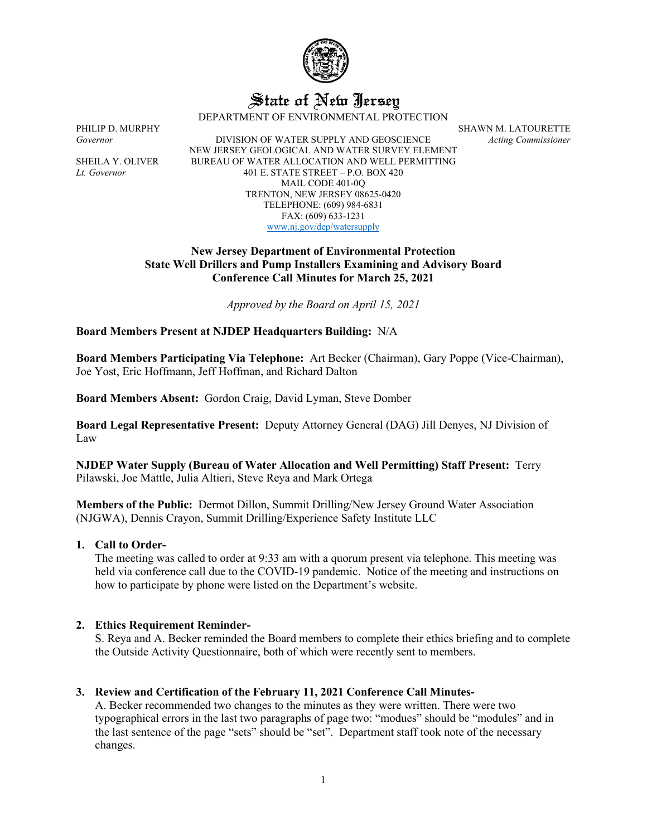

# State of New Jersey

DEPARTMENT OF ENVIRONMENTAL PROTECTION

PHILIP D. MURPHY SHAWN M. LATOURETTE

*Governor* DIVISION OF WATER SUPPLY AND GEOSCIENCE *Acting Commissioner* NEW JERSEY GEOLOGICAL AND WATER SURVEY ELEMENT SHEILA Y. OLIVER BUREAU OF WATER ALLOCATION AND WELL PERMITTING *Lt. Governor* 401 E. STATE STREET – P.O. BOX 420 MAIL CODE 401-0Q TRENTON, NEW JERSEY 08625-0420 TELEPHONE: (609) 984-6831 FAX: (609) 633-1231 [www.nj.gov/dep/watersupply](http://www.nj.gov/dep/watersupply)

# **New Jersey Department of Environmental Protection State Well Drillers and Pump Installers Examining and Advisory Board Conference Call Minutes for March 25, 2021**

*Approved by the Board on April 15, 2021*

**Board Members Present at NJDEP Headquarters Building:** N/A

**Board Members Participating Via Telephone:** Art Becker (Chairman), Gary Poppe (Vice-Chairman), Joe Yost, Eric Hoffmann, Jeff Hoffman, and Richard Dalton

**Board Members Absent:** Gordon Craig, David Lyman, Steve Domber

**Board Legal Representative Present:** Deputy Attorney General (DAG) Jill Denyes, NJ Division of Law

**NJDEP Water Supply (Bureau of Water Allocation and Well Permitting) Staff Present:** Terry Pilawski, Joe Mattle, Julia Altieri, Steve Reya and Mark Ortega

**Members of the Public:** Dermot Dillon, Summit Drilling/New Jersey Ground Water Association (NJGWA), Dennis Crayon, Summit Drilling/Experience Safety Institute LLC

# **1. Call to Order-**

The meeting was called to order at 9:33 am with a quorum present via telephone. This meeting was held via conference call due to the COVID-19 pandemic. Notice of the meeting and instructions on how to participate by phone were listed on the Department's website.

# **2. Ethics Requirement Reminder-**

S. Reya and A. Becker reminded the Board members to complete their ethics briefing and to complete the Outside Activity Questionnaire, both of which were recently sent to members.

# **3. Review and Certification of the February 11, 2021 Conference Call Minutes-**

A. Becker recommended two changes to the minutes as they were written. There were two typographical errors in the last two paragraphs of page two: "modues" should be "modules" and in the last sentence of the page "sets" should be "set". Department staff took note of the necessary changes.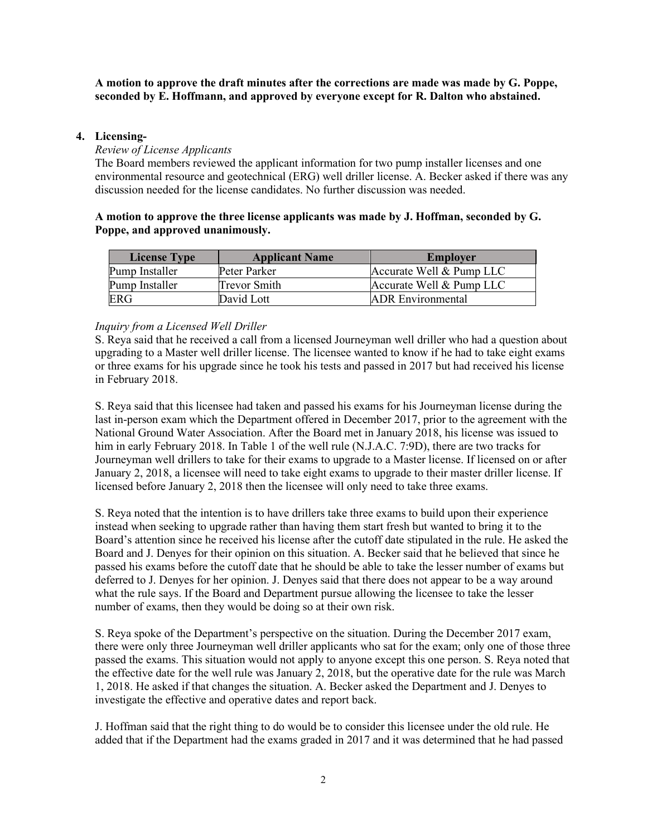**A motion to approve the draft minutes after the corrections are made was made by G. Poppe, seconded by E. Hoffmann, and approved by everyone except for R. Dalton who abstained.**

#### **4. Licensing-**

#### *Review of License Applicants*

The Board members reviewed the applicant information for two pump installer licenses and one environmental resource and geotechnical (ERG) well driller license. A. Becker asked if there was any discussion needed for the license candidates. No further discussion was needed.

# **A motion to approve the three license applicants was made by J. Hoffman, seconded by G. Poppe, and approved unanimously.**

| <b>License Type</b> | <b>Applicant Name</b> | <b>Employer</b>          |
|---------------------|-----------------------|--------------------------|
| Pump Installer      | Peter Parker          | Accurate Well & Pump LLC |
| Pump Installer      | Trevor Smith          | Accurate Well & Pump LLC |
| ERG                 | David Lott            | <b>ADR</b> Environmental |

# *Inquiry from a Licensed Well Driller*

S. Reya said that he received a call from a licensed Journeyman well driller who had a question about upgrading to a Master well driller license. The licensee wanted to know if he had to take eight exams or three exams for his upgrade since he took his tests and passed in 2017 but had received his license in February 2018.

S. Reya said that this licensee had taken and passed his exams for his Journeyman license during the last in-person exam which the Department offered in December 2017, prior to the agreement with the National Ground Water Association. After the Board met in January 2018, his license was issued to him in early February 2018. In Table 1 of the well rule (N.J.A.C. 7:9D), there are two tracks for Journeyman well drillers to take for their exams to upgrade to a Master license. If licensed on or after January 2, 2018, a licensee will need to take eight exams to upgrade to their master driller license. If licensed before January 2, 2018 then the licensee will only need to take three exams.

S. Reya noted that the intention is to have drillers take three exams to build upon their experience instead when seeking to upgrade rather than having them start fresh but wanted to bring it to the Board's attention since he received his license after the cutoff date stipulated in the rule. He asked the Board and J. Denyes for their opinion on this situation. A. Becker said that he believed that since he passed his exams before the cutoff date that he should be able to take the lesser number of exams but deferred to J. Denyes for her opinion. J. Denyes said that there does not appear to be a way around what the rule says. If the Board and Department pursue allowing the licensee to take the lesser number of exams, then they would be doing so at their own risk.

S. Reya spoke of the Department's perspective on the situation. During the December 2017 exam, there were only three Journeyman well driller applicants who sat for the exam; only one of those three passed the exams. This situation would not apply to anyone except this one person. S. Reya noted that the effective date for the well rule was January 2, 2018, but the operative date for the rule was March 1, 2018. He asked if that changes the situation. A. Becker asked the Department and J. Denyes to investigate the effective and operative dates and report back.

J. Hoffman said that the right thing to do would be to consider this licensee under the old rule. He added that if the Department had the exams graded in 2017 and it was determined that he had passed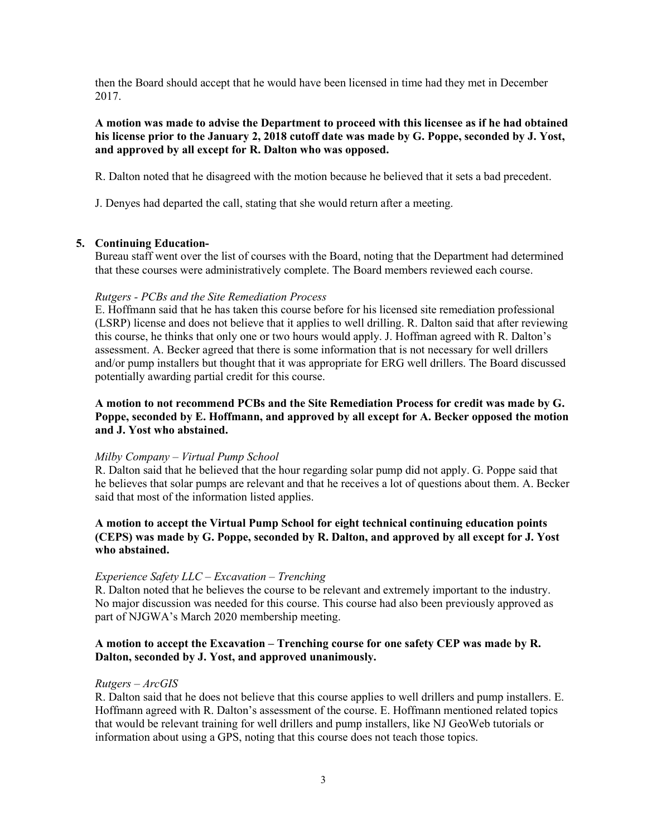then the Board should accept that he would have been licensed in time had they met in December 2017.

## **A motion was made to advise the Department to proceed with this licensee as if he had obtained his license prior to the January 2, 2018 cutoff date was made by G. Poppe, seconded by J. Yost, and approved by all except for R. Dalton who was opposed.**

R. Dalton noted that he disagreed with the motion because he believed that it sets a bad precedent.

J. Denyes had departed the call, stating that she would return after a meeting.

# **5. Continuing Education-**

Bureau staff went over the list of courses with the Board, noting that the Department had determined that these courses were administratively complete. The Board members reviewed each course.

#### *Rutgers - PCBs and the Site Remediation Process*

E. Hoffmann said that he has taken this course before for his licensed site remediation professional (LSRP) license and does not believe that it applies to well drilling. R. Dalton said that after reviewing this course, he thinks that only one or two hours would apply. J. Hoffman agreed with R. Dalton's assessment. A. Becker agreed that there is some information that is not necessary for well drillers and/or pump installers but thought that it was appropriate for ERG well drillers. The Board discussed potentially awarding partial credit for this course.

# **A motion to not recommend PCBs and the Site Remediation Process for credit was made by G. Poppe, seconded by E. Hoffmann, and approved by all except for A. Becker opposed the motion and J. Yost who abstained.**

#### *Milby Company – Virtual Pump School*

R. Dalton said that he believed that the hour regarding solar pump did not apply. G. Poppe said that he believes that solar pumps are relevant and that he receives a lot of questions about them. A. Becker said that most of the information listed applies.

# **A motion to accept the Virtual Pump School for eight technical continuing education points (CEPS) was made by G. Poppe, seconded by R. Dalton, and approved by all except for J. Yost who abstained.**

#### *Experience Safety LLC – Excavation – Trenching*

R. Dalton noted that he believes the course to be relevant and extremely important to the industry. No major discussion was needed for this course. This course had also been previously approved as part of NJGWA's March 2020 membership meeting.

# **A motion to accept the Excavation – Trenching course for one safety CEP was made by R. Dalton, seconded by J. Yost, and approved unanimously.**

#### *Rutgers – ArcGIS*

R. Dalton said that he does not believe that this course applies to well drillers and pump installers. E. Hoffmann agreed with R. Dalton's assessment of the course. E. Hoffmann mentioned related topics that would be relevant training for well drillers and pump installers, like NJ GeoWeb tutorials or information about using a GPS, noting that this course does not teach those topics.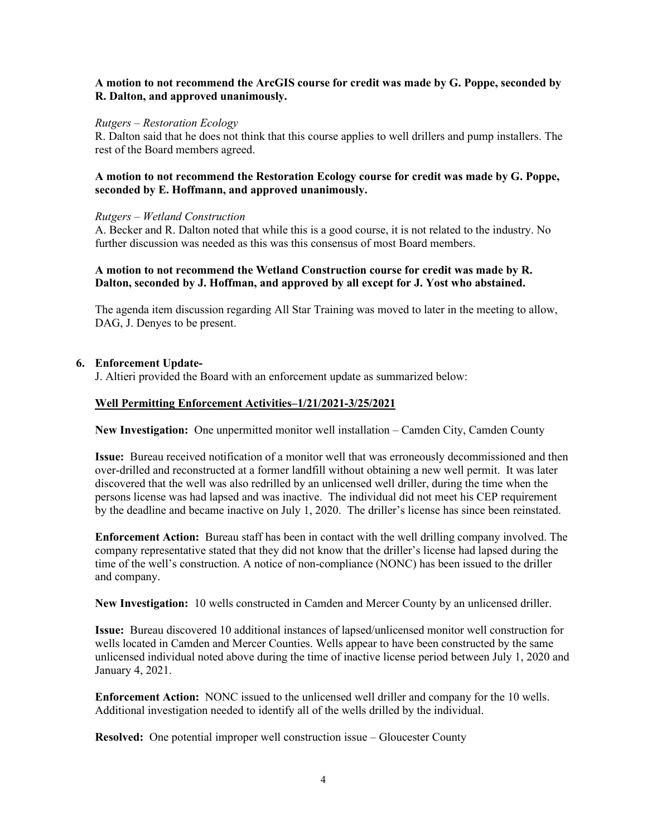#### **A motion to not recommend the ArcGIS course for credit was made by G. Poppe, seconded by R. Dalton, and approved unanimously.**

#### *Rutgers – Restoration Ecology*

R. Dalton said that he does not think that this course applies to well drillers and pump installers. The rest of the Board members agreed.

## **A motion to not recommend the Restoration Ecology course for credit was made by G. Poppe, seconded by E. Hoffmann, and approved unanimously.**

#### *Rutgers – Wetland Construction*

A. Becker and R. Dalton noted that while this is a good course, it is not related to the industry. No further discussion was needed as this was this consensus of most Board members.

# **A motion to not recommend the Wetland Construction course for credit was made by R. Dalton, seconded by J. Hoffman, and approved by all except for J. Yost who abstained.**

The agenda item discussion regarding All Star Training was moved to later in the meeting to allow, DAG, J. Denyes to be present.

# **6. Enforcement Update-**

J. Altieri provided the Board with an enforcement update as summarized below:

# **Well Permitting Enforcement Activities–1/21/2021-3/25/2021**

**New Investigation:** One unpermitted monitor well installation – Camden City, Camden County

**Issue:** Bureau received notification of a monitor well that was erroneously decommissioned and then over-drilled and reconstructed at a former landfill without obtaining a new well permit. It was later discovered that the well was also redrilled by an unlicensed well driller, during the time when the persons license was had lapsed and was inactive. The individual did not meet his CEP requirement by the deadline and became inactive on July 1, 2020. The driller's license has since been reinstated.

**Enforcement Action:** Bureau staff has been in contact with the well drilling company involved. The company representative stated that they did not know that the driller's license had lapsed during the time of the well's construction. A notice of non-compliance (NONC) has been issued to the driller and company.

**New Investigation:** 10 wells constructed in Camden and Mercer County by an unlicensed driller.

**Issue:** Bureau discovered 10 additional instances of lapsed/unlicensed monitor well construction for wells located in Camden and Mercer Counties. Wells appear to have been constructed by the same unlicensed individual noted above during the time of inactive license period between July 1, 2020 and January 4, 2021.

**Enforcement Action:** NONC issued to the unlicensed well driller and company for the 10 wells. Additional investigation needed to identify all of the wells drilled by the individual.

**Resolved:** One potential improper well construction issue – Gloucester County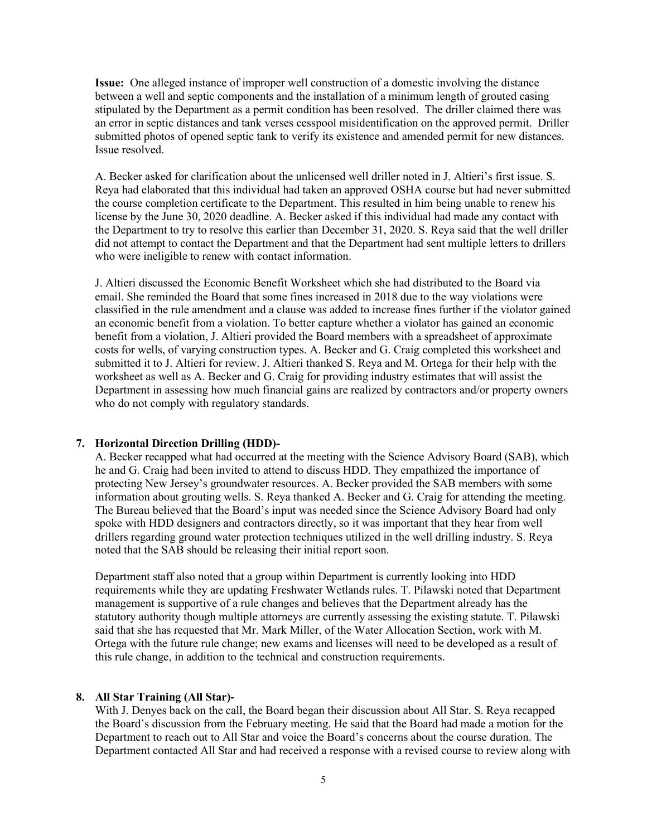**Issue:** One alleged instance of improper well construction of a domestic involving the distance between a well and septic components and the installation of a minimum length of grouted casing stipulated by the Department as a permit condition has been resolved. The driller claimed there was an error in septic distances and tank verses cesspool misidentification on the approved permit. Driller submitted photos of opened septic tank to verify its existence and amended permit for new distances. Issue resolved.

A. Becker asked for clarification about the unlicensed well driller noted in J. Altieri's first issue. S. Reya had elaborated that this individual had taken an approved OSHA course but had never submitted the course completion certificate to the Department. This resulted in him being unable to renew his license by the June 30, 2020 deadline. A. Becker asked if this individual had made any contact with the Department to try to resolve this earlier than December 31, 2020. S. Reya said that the well driller did not attempt to contact the Department and that the Department had sent multiple letters to drillers who were ineligible to renew with contact information.

J. Altieri discussed the Economic Benefit Worksheet which she had distributed to the Board via email. She reminded the Board that some fines increased in 2018 due to the way violations were classified in the rule amendment and a clause was added to increase fines further if the violator gained an economic benefit from a violation. To better capture whether a violator has gained an economic benefit from a violation, J. Altieri provided the Board members with a spreadsheet of approximate costs for wells, of varying construction types. A. Becker and G. Craig completed this worksheet and submitted it to J. Altieri for review. J. Altieri thanked S. Reya and M. Ortega for their help with the worksheet as well as A. Becker and G. Craig for providing industry estimates that will assist the Department in assessing how much financial gains are realized by contractors and/or property owners who do not comply with regulatory standards.

# **7. Horizontal Direction Drilling (HDD)-**

A. Becker recapped what had occurred at the meeting with the Science Advisory Board (SAB), which he and G. Craig had been invited to attend to discuss HDD. They empathized the importance of protecting New Jersey's groundwater resources. A. Becker provided the SAB members with some information about grouting wells. S. Reya thanked A. Becker and G. Craig for attending the meeting. The Bureau believed that the Board's input was needed since the Science Advisory Board had only spoke with HDD designers and contractors directly, so it was important that they hear from well drillers regarding ground water protection techniques utilized in the well drilling industry. S. Reya noted that the SAB should be releasing their initial report soon.

Department staff also noted that a group within Department is currently looking into HDD requirements while they are updating Freshwater Wetlands rules. T. Pilawski noted that Department management is supportive of a rule changes and believes that the Department already has the statutory authority though multiple attorneys are currently assessing the existing statute. T. Pilawski said that she has requested that Mr. Mark Miller, of the Water Allocation Section, work with M. Ortega with the future rule change; new exams and licenses will need to be developed as a result of this rule change, in addition to the technical and construction requirements.

# **8. All Star Training (All Star)-**

With J. Denyes back on the call, the Board began their discussion about All Star. S. Reya recapped the Board's discussion from the February meeting. He said that the Board had made a motion for the Department to reach out to All Star and voice the Board's concerns about the course duration. The Department contacted All Star and had received a response with a revised course to review along with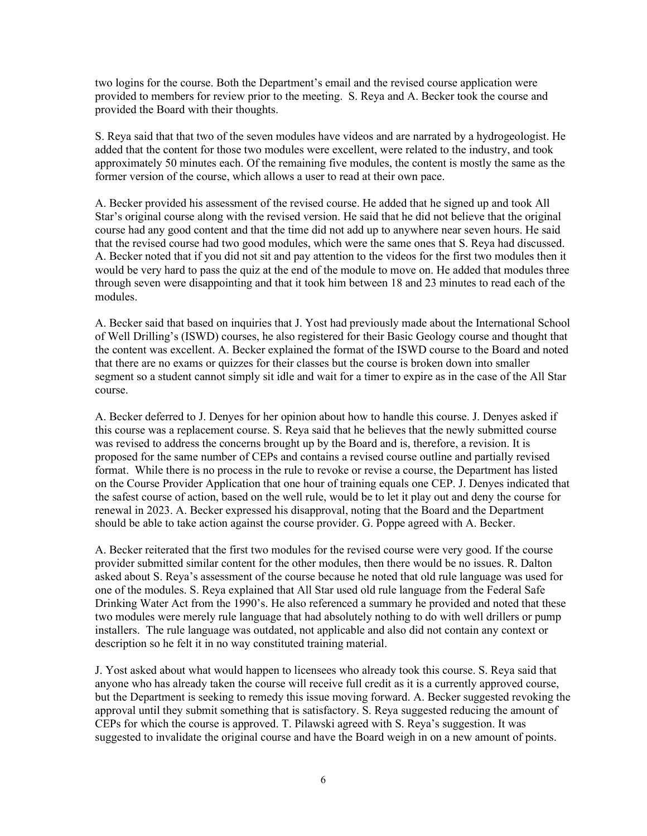two logins for the course. Both the Department's email and the revised course application were provided to members for review prior to the meeting. S. Reya and A. Becker took the course and provided the Board with their thoughts.

S. Reya said that that two of the seven modules have videos and are narrated by a hydrogeologist. He added that the content for those two modules were excellent, were related to the industry, and took approximately 50 minutes each. Of the remaining five modules, the content is mostly the same as the former version of the course, which allows a user to read at their own pace.

A. Becker provided his assessment of the revised course. He added that he signed up and took All Star's original course along with the revised version. He said that he did not believe that the original course had any good content and that the time did not add up to anywhere near seven hours. He said that the revised course had two good modules, which were the same ones that S. Reya had discussed. A. Becker noted that if you did not sit and pay attention to the videos for the first two modules then it would be very hard to pass the quiz at the end of the module to move on. He added that modules three through seven were disappointing and that it took him between 18 and 23 minutes to read each of the modules.

A. Becker said that based on inquiries that J. Yost had previously made about the International School of Well Drilling's (ISWD) courses, he also registered for their Basic Geology course and thought that the content was excellent. A. Becker explained the format of the ISWD course to the Board and noted that there are no exams or quizzes for their classes but the course is broken down into smaller segment so a student cannot simply sit idle and wait for a timer to expire as in the case of the All Star course.

A. Becker deferred to J. Denyes for her opinion about how to handle this course. J. Denyes asked if this course was a replacement course. S. Reya said that he believes that the newly submitted course was revised to address the concerns brought up by the Board and is, therefore, a revision. It is proposed for the same number of CEPs and contains a revised course outline and partially revised format. While there is no process in the rule to revoke or revise a course, the Department has listed on the Course Provider Application that one hour of training equals one CEP. J. Denyes indicated that the safest course of action, based on the well rule, would be to let it play out and deny the course for renewal in 2023. A. Becker expressed his disapproval, noting that the Board and the Department should be able to take action against the course provider. G. Poppe agreed with A. Becker.

A. Becker reiterated that the first two modules for the revised course were very good. If the course provider submitted similar content for the other modules, then there would be no issues. R. Dalton asked about S. Reya's assessment of the course because he noted that old rule language was used for one of the modules. S. Reya explained that All Star used old rule language from the Federal Safe Drinking Water Act from the 1990's. He also referenced a summary he provided and noted that these two modules were merely rule language that had absolutely nothing to do with well drillers or pump installers. The rule language was outdated, not applicable and also did not contain any context or description so he felt it in no way constituted training material.

J. Yost asked about what would happen to licensees who already took this course. S. Reya said that anyone who has already taken the course will receive full credit as it is a currently approved course, but the Department is seeking to remedy this issue moving forward. A. Becker suggested revoking the approval until they submit something that is satisfactory. S. Reya suggested reducing the amount of CEPs for which the course is approved. T. Pilawski agreed with S. Reya's suggestion. It was suggested to invalidate the original course and have the Board weigh in on a new amount of points.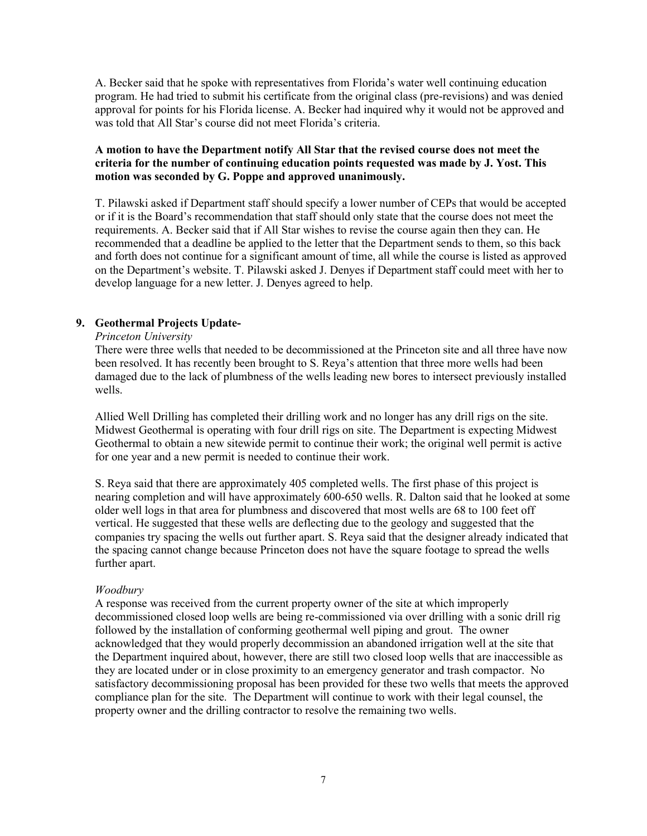A. Becker said that he spoke with representatives from Florida's water well continuing education program. He had tried to submit his certificate from the original class (pre-revisions) and was denied approval for points for his Florida license. A. Becker had inquired why it would not be approved and was told that All Star's course did not meet Florida's criteria.

# **A motion to have the Department notify All Star that the revised course does not meet the criteria for the number of continuing education points requested was made by J. Yost. This motion was seconded by G. Poppe and approved unanimously.**

T. Pilawski asked if Department staff should specify a lower number of CEPs that would be accepted or if it is the Board's recommendation that staff should only state that the course does not meet the requirements. A. Becker said that if All Star wishes to revise the course again then they can. He recommended that a deadline be applied to the letter that the Department sends to them, so this back and forth does not continue for a significant amount of time, all while the course is listed as approved on the Department's website. T. Pilawski asked J. Denyes if Department staff could meet with her to develop language for a new letter. J. Denyes agreed to help.

# **9. Geothermal Projects Update-**

#### *Princeton University*

There were three wells that needed to be decommissioned at the Princeton site and all three have now been resolved. It has recently been brought to S. Reya's attention that three more wells had been damaged due to the lack of plumbness of the wells leading new bores to intersect previously installed wells.

Allied Well Drilling has completed their drilling work and no longer has any drill rigs on the site. Midwest Geothermal is operating with four drill rigs on site. The Department is expecting Midwest Geothermal to obtain a new sitewide permit to continue their work; the original well permit is active for one year and a new permit is needed to continue their work.

S. Reya said that there are approximately 405 completed wells. The first phase of this project is nearing completion and will have approximately 600-650 wells. R. Dalton said that he looked at some older well logs in that area for plumbness and discovered that most wells are 68 to 100 feet off vertical. He suggested that these wells are deflecting due to the geology and suggested that the companies try spacing the wells out further apart. S. Reya said that the designer already indicated that the spacing cannot change because Princeton does not have the square footage to spread the wells further apart.

#### *Woodbury*

A response was received from the current property owner of the site at which improperly decommissioned closed loop wells are being re-commissioned via over drilling with a sonic drill rig followed by the installation of conforming geothermal well piping and grout. The owner acknowledged that they would properly decommission an abandoned irrigation well at the site that the Department inquired about, however, there are still two closed loop wells that are inaccessible as they are located under or in close proximity to an emergency generator and trash compactor. No satisfactory decommissioning proposal has been provided for these two wells that meets the approved compliance plan for the site. The Department will continue to work with their legal counsel, the property owner and the drilling contractor to resolve the remaining two wells.